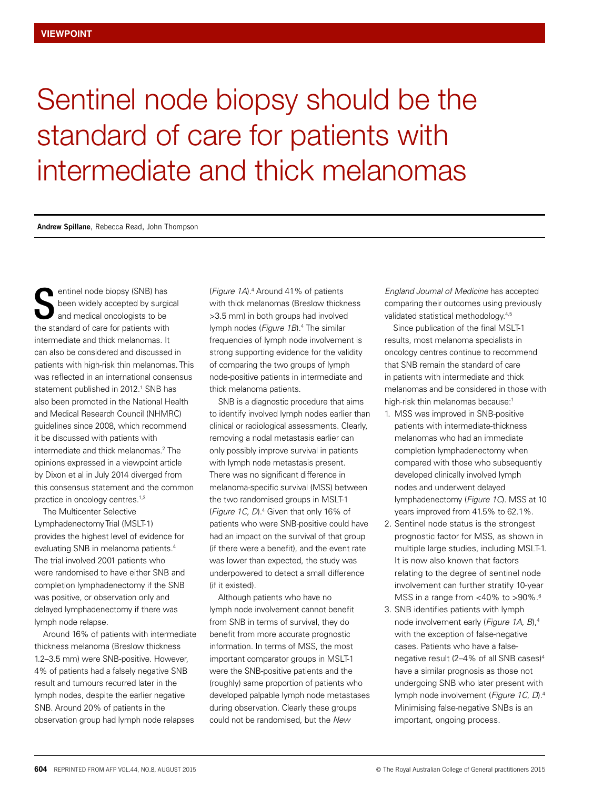## Sentinel node biopsy should be the standard of care for patients with intermediate and thick melanomas

**Andrew Spillane**, Rebecca Read, John Thompson

entinel node biopsy (SNB) has been widely accepted by surgical and medical oncologists to be entinel node biopsy (SNB) has<br>been widely accepted by surgic<br>and medical oncologists to be<br>the standard of care for patients with intermediate and thick melanomas. It can also be considered and discussed in patients with high-risk thin melanomas. This was reflected in an international consensus statement published in 2012.<sup>1</sup> SNB has also been promoted in the National Health and Medical Research Council (NHMRC) guidelines since 2008, which recommend it be discussed with patients with intermediate and thick melanomas.2 The opinions expressed in a viewpoint article by Dixon et al in July 2014 diverged from this consensus statement and the common practice in oncology centres.<sup>1,3</sup>

The Multicenter Selective Lymphadenectomy Trial (MSLT-1) provides the highest level of evidence for evaluating SNB in melanoma patients.4 The trial involved 2001 patients who were randomised to have either SNB and completion lymphadenectomy if the SNB was positive, or observation only and delayed lymphadenectomy if there was lymph node relapse.

Around 16% of patients with intermediate thickness melanoma (Breslow thickness 1.2–3.5 mm) were SNB-positive. However, 4% of patients had a falsely negative SNB result and tumours recurred later in the lymph nodes, despite the earlier negative SNB. Around 20% of patients in the observation group had lymph node relapses

(*Figure 1A*).4 Around 41% of patients with thick melanomas (Breslow thickness >3.5 mm) in both groups had involved lymph nodes (*Figure 1B*).4 The similar frequencies of lymph node involvement is strong supporting evidence for the validity of comparing the two groups of lymph node-positive patients in intermediate and thick melanoma patients.

SNB is a diagnostic procedure that aims to identify involved lymph nodes earlier than clinical or radiological assessments. Clearly, removing a nodal metastasis earlier can only possibly improve survival in patients with lymph node metastasis present. There was no significant difference in melanoma-specific survival (MSS) between the two randomised groups in MSLT-1 (*Figure 1C, D*).4 Given that only 16% of patients who were SNB-positive could have had an impact on the survival of that group (if there were a benefit), and the event rate was lower than expected, the study was underpowered to detect a small difference (if it existed).

Although patients who have no lymph node involvement cannot benefit from SNB in terms of survival, they do benefit from more accurate prognostic information. In terms of MSS, the most important comparator groups in MSLT-1 were the SNB-positive patients and the (roughly) same proportion of patients who developed palpable lymph node metastases during observation. Clearly these groups could not be randomised, but the *New* 

*England Journal of Medicine* has accepted comparing their outcomes using previously validated statistical methodology.<sup>4,5</sup>

Since publication of the final MSLT-1 results, most melanoma specialists in oncology centres continue to recommend that SNB remain the standard of care in patients with intermediate and thick melanomas and be considered in those with high-risk thin melanomas because:<sup>1</sup>

- 1. MSS was improved in SNB-positive patients with intermediate-thickness melanomas who had an immediate completion lymphadenectomy when compared with those who subsequently developed clinically involved lymph nodes and underwent delayed lymphadenectomy (*Figure 1C*). MSS at 10 years improved from 41.5% to 62.1%.
- 2. Sentinel node status is the strongest prognostic factor for MSS, as shown in multiple large studies, including MSLT-1. It is now also known that factors relating to the degree of sentinel node involvement can further stratify 10-year MSS in a range from <40% to >90%.<sup>6</sup>
- 3. SNB identifies patients with lymph node involvement early (*Figure 1A, B*),4 with the exception of false-negative cases. Patients who have a falsenegative result (2–4% of all SNB cases)4 have a similar prognosis as those not undergoing SNB who later present with lymph node involvement (*Figure 1C*, *D*).4 Minimising false-negative SNBs is an important, ongoing process.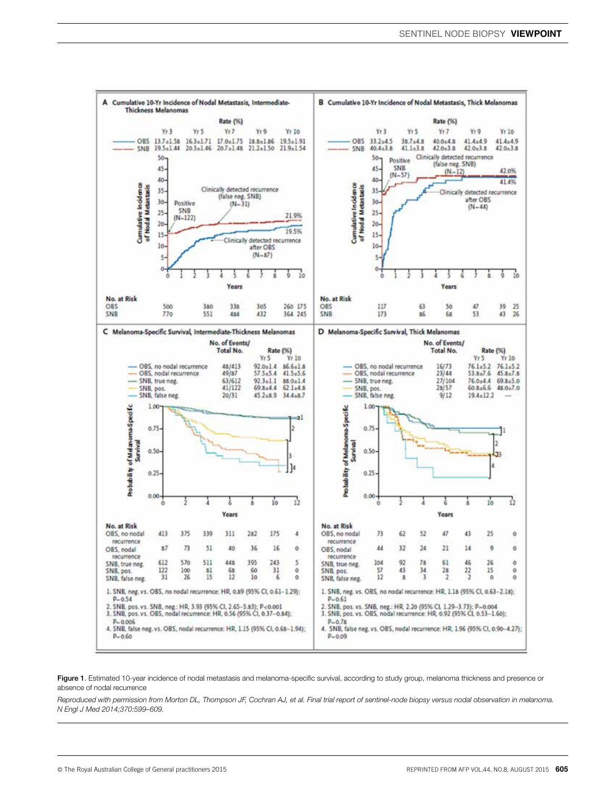

Figure 1. Estimated 10-year incidence of nodal metastasis and melanoma-specific survival, according to study group, melanoma thickness and presence or absence of nodal recurrence

*Reproduced with permission from Morton DL, Thompson JF, Cochran AJ, et al. Final trial report of sentinel-node biopsy versus nodal observation in melanoma. N Engl J Med 2014;370:599–609.*